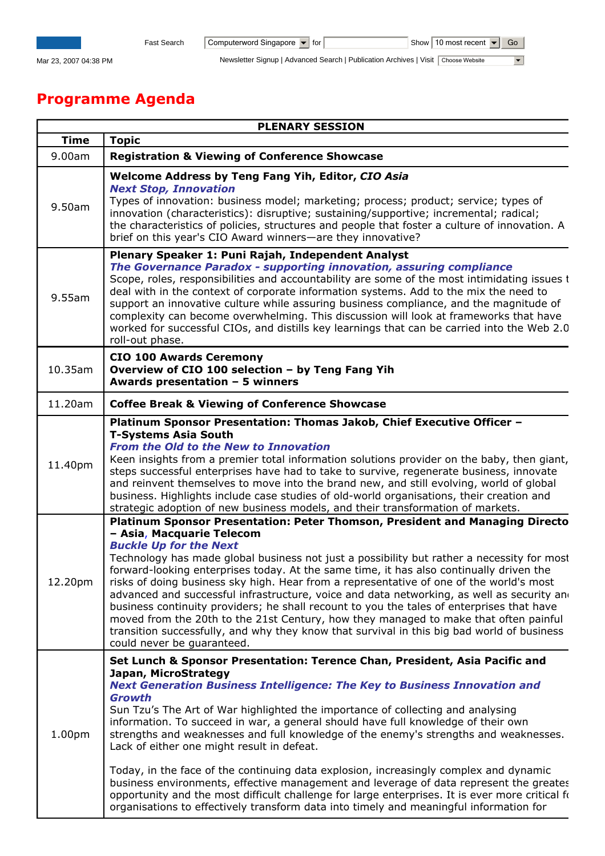Mar 23, 2007 04:38 PM Newsletter Signup | Advanced Search | Publication Archives | Visit Choose Website

## Programme Agenda

|             | <b>PLENARY SESSION</b>                                                                                                                                                                                                                                                                                                                                                                                                                                                                                                                                                                                                                                                                                                                                                                                                                                                                           |
|-------------|--------------------------------------------------------------------------------------------------------------------------------------------------------------------------------------------------------------------------------------------------------------------------------------------------------------------------------------------------------------------------------------------------------------------------------------------------------------------------------------------------------------------------------------------------------------------------------------------------------------------------------------------------------------------------------------------------------------------------------------------------------------------------------------------------------------------------------------------------------------------------------------------------|
| <b>Time</b> | <b>Topic</b>                                                                                                                                                                                                                                                                                                                                                                                                                                                                                                                                                                                                                                                                                                                                                                                                                                                                                     |
| 9.00am      | <b>Registration &amp; Viewing of Conference Showcase</b>                                                                                                                                                                                                                                                                                                                                                                                                                                                                                                                                                                                                                                                                                                                                                                                                                                         |
| 9.50am      | Welcome Address by Teng Fang Yih, Editor, CIO Asia<br><b>Next Stop, Innovation</b><br>Types of innovation: business model; marketing; process; product; service; types of<br>innovation (characteristics): disruptive; sustaining/supportive; incremental; radical;<br>the characteristics of policies, structures and people that foster a culture of innovation. A<br>brief on this year's CIO Award winners—are they innovative?                                                                                                                                                                                                                                                                                                                                                                                                                                                              |
| 9.55am      | Plenary Speaker 1: Puni Rajah, Independent Analyst<br>The Governance Paradox - supporting innovation, assuring compliance<br>Scope, roles, responsibilities and accountability are some of the most intimidating issues t<br>deal with in the context of corporate information systems. Add to the mix the need to<br>support an innovative culture while assuring business compliance, and the magnitude of<br>complexity can become overwhelming. This discussion will look at frameworks that have<br>worked for successful CIOs, and distills key learnings that can be carried into the Web 2.0<br>roll-out phase.                                                                                                                                                                                                                                                                          |
| 10.35am     | <b>CIO 100 Awards Ceremony</b><br>Overview of CIO 100 selection - by Teng Fang Yih<br>Awards presentation $-5$ winners                                                                                                                                                                                                                                                                                                                                                                                                                                                                                                                                                                                                                                                                                                                                                                           |
| 11.20am     | <b>Coffee Break &amp; Viewing of Conference Showcase</b>                                                                                                                                                                                                                                                                                                                                                                                                                                                                                                                                                                                                                                                                                                                                                                                                                                         |
| 11.40pm     | Platinum Sponsor Presentation: Thomas Jakob, Chief Executive Officer -<br><b>T-Systems Asia South</b><br><b>From the Old to the New to Innovation</b><br>Keen insights from a premier total information solutions provider on the baby, then giant,<br>steps successful enterprises have had to take to survive, regenerate business, innovate<br>and reinvent themselves to move into the brand new, and still evolving, world of global<br>business. Highlights include case studies of old-world organisations, their creation and<br>strategic adoption of new business models, and their transformation of markets.<br>Platinum Sponsor Presentation: Peter Thomson, President and Managing Directo                                                                                                                                                                                         |
| 12.20pm     | - Asia, Macquarie Telecom<br><b>Buckle Up for the Next</b><br>Technology has made global business not just a possibility but rather a necessity for most<br>forward-looking enterprises today. At the same time, it has also continually driven the<br>risks of doing business sky high. Hear from a representative of one of the world's most<br>advanced and successful infrastructure, voice and data networking, as well as security and<br>business continuity providers; he shall recount to you the tales of enterprises that have<br>moved from the 20th to the 21st Century, how they managed to make that often painful<br>transition successfully, and why they know that survival in this big bad world of business<br>could never be guaranteed.                                                                                                                                    |
| 1.00pm      | Set Lunch & Sponsor Presentation: Terence Chan, President, Asia Pacific and<br>Japan, MicroStrategy<br><b>Next Generation Business Intelligence: The Key to Business Innovation and</b><br>Growth<br>Sun Tzu's The Art of War highlighted the importance of collecting and analysing<br>information. To succeed in war, a general should have full knowledge of their own<br>strengths and weaknesses and full knowledge of the enemy's strengths and weaknesses.<br>Lack of either one might result in defeat.<br>Today, in the face of the continuing data explosion, increasingly complex and dynamic<br>business environments, effective management and leverage of data represent the greates<br>opportunity and the most difficult challenge for large enterprises. It is ever more critical for<br>organisations to effectively transform data into timely and meaningful information for |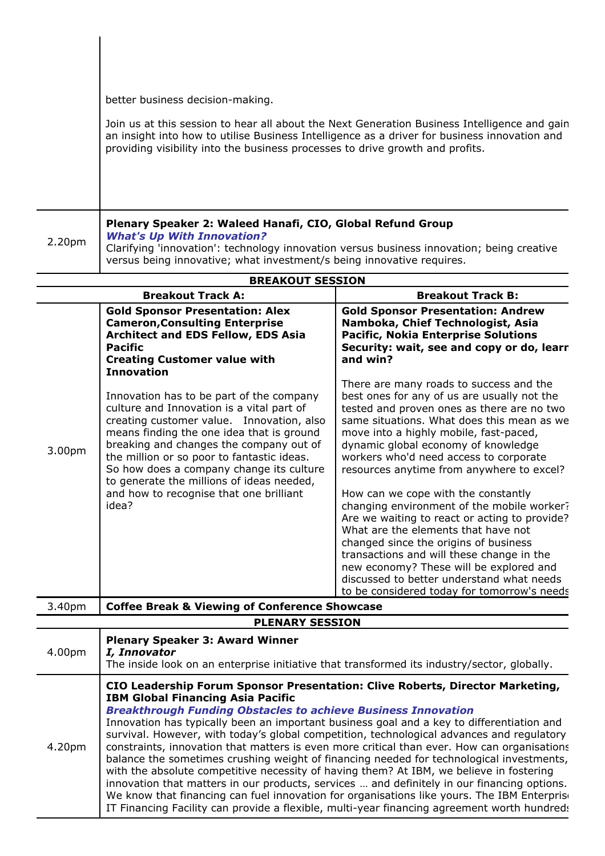better business decision-making.

Join us at this session to hear all about the Next Generation Business Intelligence and gain an insight into how to utilise Business Intelligence as a driver for business innovation and providing visibility into the business processes to drive growth and profits.

## Plenary Speaker 2: Waleed Hanafi, CIO, Global Refund Group What's Up With Innovation?

2.20pm Clarifying 'innovation': technology innovation versus business innovation; being creative versus being innovative; what investment/s being innovative requires.

|                        | <b>BREAKOUT SESSION</b>                                                                                                                                                                                                                                                                                                                                                                                               |                                                                                                                                                                                                                                                                                                                                                                                                                                                                                                                                                                                                                                                                                                                                                                      |  |
|------------------------|-----------------------------------------------------------------------------------------------------------------------------------------------------------------------------------------------------------------------------------------------------------------------------------------------------------------------------------------------------------------------------------------------------------------------|----------------------------------------------------------------------------------------------------------------------------------------------------------------------------------------------------------------------------------------------------------------------------------------------------------------------------------------------------------------------------------------------------------------------------------------------------------------------------------------------------------------------------------------------------------------------------------------------------------------------------------------------------------------------------------------------------------------------------------------------------------------------|--|
|                        | <b>Breakout Track A:</b>                                                                                                                                                                                                                                                                                                                                                                                              | <b>Breakout Track B:</b>                                                                                                                                                                                                                                                                                                                                                                                                                                                                                                                                                                                                                                                                                                                                             |  |
|                        | <b>Gold Sponsor Presentation: Alex</b><br><b>Cameron, Consulting Enterprise</b><br><b>Architect and EDS Fellow, EDS Asia</b><br><b>Pacific</b><br><b>Creating Customer value with</b><br><b>Innovation</b>                                                                                                                                                                                                            | <b>Gold Sponsor Presentation: Andrew</b><br>Namboka, Chief Technologist, Asia<br><b>Pacific, Nokia Enterprise Solutions</b><br>Security: wait, see and copy or do, learn<br>and win?                                                                                                                                                                                                                                                                                                                                                                                                                                                                                                                                                                                 |  |
| 3.00pm                 | Innovation has to be part of the company<br>culture and Innovation is a vital part of<br>creating customer value. Innovation, also<br>means finding the one idea that is ground<br>breaking and changes the company out of<br>the million or so poor to fantastic ideas.<br>So how does a company change its culture<br>to generate the millions of ideas needed,<br>and how to recognise that one brilliant<br>idea? | There are many roads to success and the<br>best ones for any of us are usually not the<br>tested and proven ones as there are no two<br>same situations. What does this mean as we<br>move into a highly mobile, fast-paced,<br>dynamic global economy of knowledge<br>workers who'd need access to corporate<br>resources anytime from anywhere to excel?<br>How can we cope with the constantly<br>changing environment of the mobile worker?<br>Are we waiting to react or acting to provide?<br>What are the elements that have not<br>changed since the origins of business<br>transactions and will these change in the<br>new economy? These will be explored and<br>discussed to better understand what needs<br>to be considered today for tomorrow's needs |  |
| 3.40pm                 | <b>Coffee Break &amp; Viewing of Conference Showcase</b>                                                                                                                                                                                                                                                                                                                                                              |                                                                                                                                                                                                                                                                                                                                                                                                                                                                                                                                                                                                                                                                                                                                                                      |  |
| <b>PLENARY SESSION</b> |                                                                                                                                                                                                                                                                                                                                                                                                                       |                                                                                                                                                                                                                                                                                                                                                                                                                                                                                                                                                                                                                                                                                                                                                                      |  |

| 4.00pm | <b>Plenary Speaker 3: Award Winner</b><br>I, Innovator<br>The inside look on an enterprise initiative that transformed its industry/sector, globally.                                                                                                                                                                                                                                                                                                                                                                                                                                                                                                                                                                                                                                                                                                                                                                                                                          |
|--------|--------------------------------------------------------------------------------------------------------------------------------------------------------------------------------------------------------------------------------------------------------------------------------------------------------------------------------------------------------------------------------------------------------------------------------------------------------------------------------------------------------------------------------------------------------------------------------------------------------------------------------------------------------------------------------------------------------------------------------------------------------------------------------------------------------------------------------------------------------------------------------------------------------------------------------------------------------------------------------|
| 4.20pm | CIO Leadership Forum Sponsor Presentation: Clive Roberts, Director Marketing,<br><b>IBM Global Financing Asia Pacific</b><br><b>Breakthrough Funding Obstacles to achieve Business Innovation</b><br>Innovation has typically been an important business goal and a key to differentiation and<br>survival. However, with today's global competition, technological advances and regulatory<br>constraints, innovation that matters is even more critical than ever. How can organisations<br>balance the sometimes crushing weight of financing needed for technological investments,<br>with the absolute competitive necessity of having them? At IBM, we believe in fostering<br>innovation that matters in our products, services  and definitely in our financing options.<br>We know that financing can fuel innovation for organisations like yours. The IBM Enterprise<br>IT Financing Facility can provide a flexible, multi-year financing agreement worth hundreds |